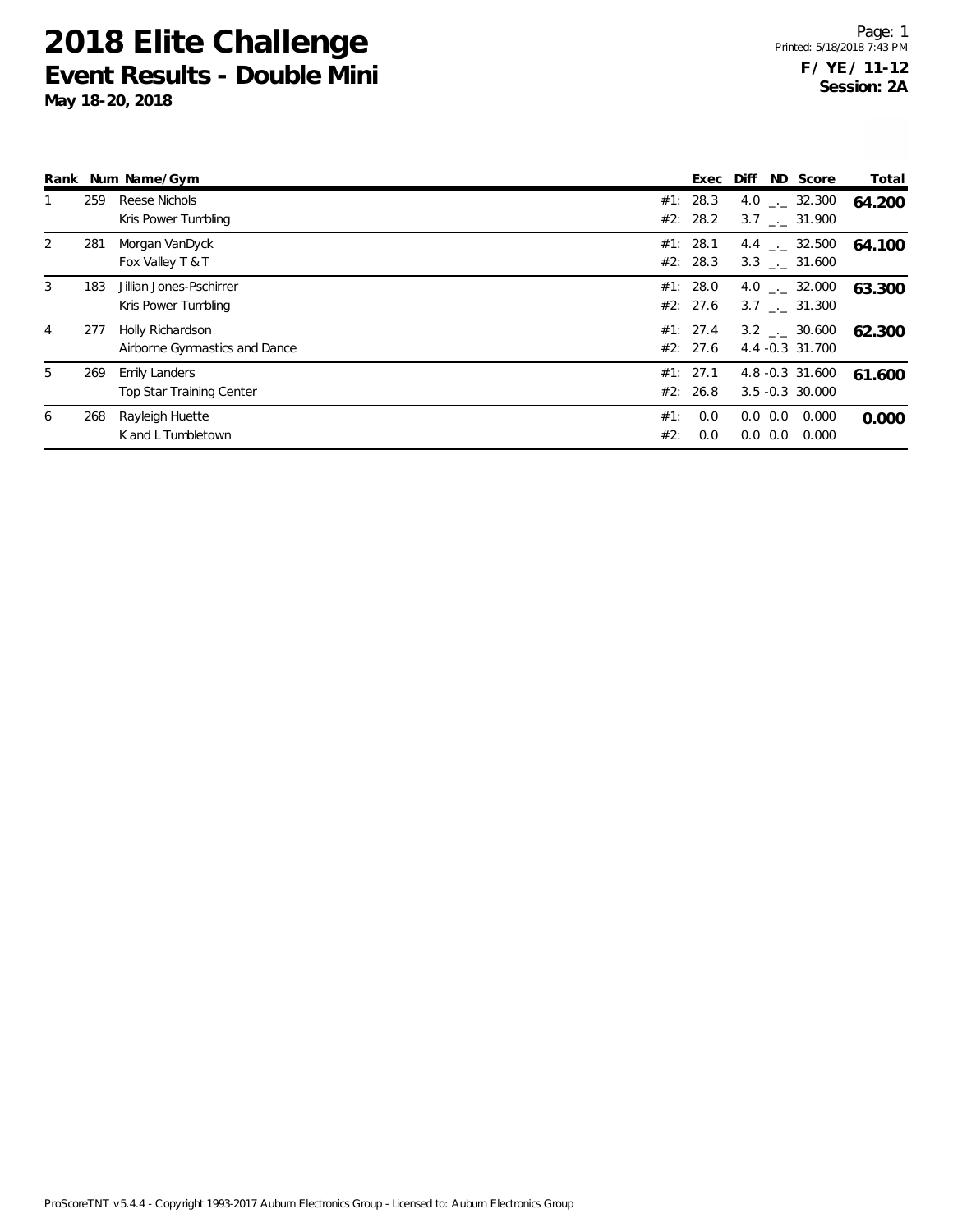|   |     | Rank Num Name/Gym                                       |            | Exec                 | Diff |                            | ND Score                                   | Total  |
|---|-----|---------------------------------------------------------|------------|----------------------|------|----------------------------|--------------------------------------------|--------|
|   | 259 | Reese Nichols<br>Kris Power Tumbling                    |            | #1: 28.3<br>#2: 28.2 |      |                            | 4.0 $\qquad$ $-$ 32.300<br>3.7 . 31.900    | 64.200 |
| 2 | 281 | Morgan VanDyck<br>Fox Valley T & T                      |            | #1: 28.1<br>#2: 28.3 |      |                            | 4.4 $\qquad$ 32.500<br>$3.3$ $_{-}$ 31.600 | 64.100 |
| 3 | 183 | Jillian Jones-Pschirrer<br>Kris Power Tumbling          |            | #1: 28.0<br>#2: 27.6 |      |                            | 4.0 . 32.000<br>3.7 . 31.300               | 63.300 |
| 4 | 277 | Holly Richardson<br>Airborne Gymnastics and Dance       |            | #1: 27.4<br>#2: 27.6 |      |                            | $3.2$ $_{\sim}$ 30.600<br>4.4 -0.3 31.700  | 62.300 |
| 5 | 269 | <b>Emily Landers</b><br><b>Top Star Training Center</b> |            | #1: 27.1<br>#2: 26.8 |      |                            | 4.8 -0.3 31.600<br>$3.5 - 0.3$ 30.000      | 61.600 |
| 6 | 268 | Rayleigh Huette<br>K and L Tumbletown                   | #1:<br>#2: | 0.0<br>0.0           |      | $0.0 \ 0.0$<br>$0.0 \ 0.0$ | 0.000<br>0.000                             | 0.000  |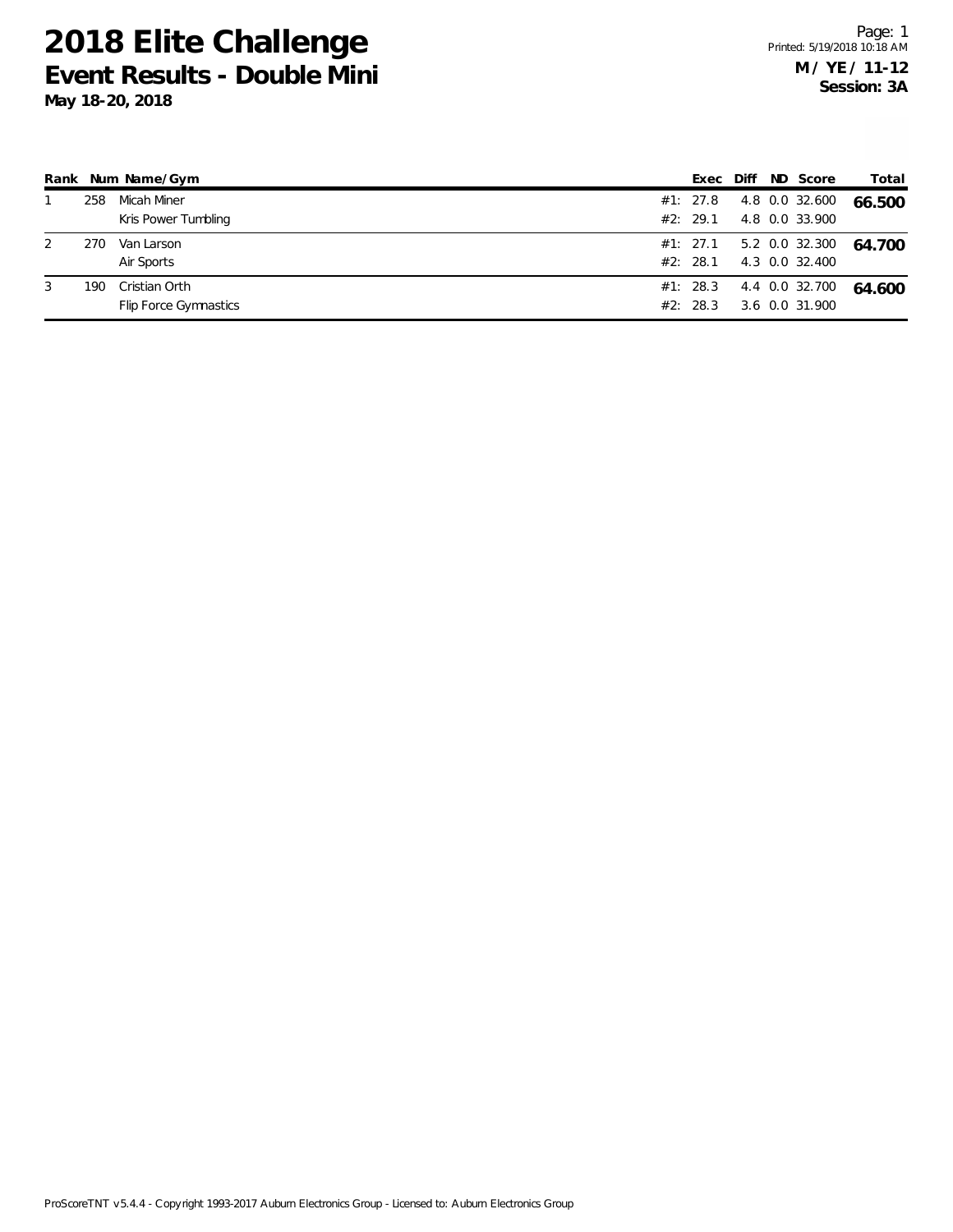|   |     | Rank Num Name/Gym     | Exec Diff |  | ND Score                | Total  |
|---|-----|-----------------------|-----------|--|-------------------------|--------|
|   | 258 | Micah Miner           | #1: 27.8  |  | 4.8 0.0 32.600          | 66.500 |
|   |     | Kris Power Tumbling   | #2: 29.1  |  | 4.8 0.0 33.900          |        |
| 2 | 270 | Van Larson            |           |  | #1: 27.1 5.2 0.0 32.300 | 64.700 |
|   |     | Air Sports            | #2: 28.1  |  | 4.3 0.0 32.400          |        |
| 3 | 190 | Cristian Orth         | #1: 28.3  |  | 4.4 0.0 32.700          | 64.600 |
|   |     | Flip Force Gymnastics | #2: 28.3  |  | 3.6 0.0 31.900          |        |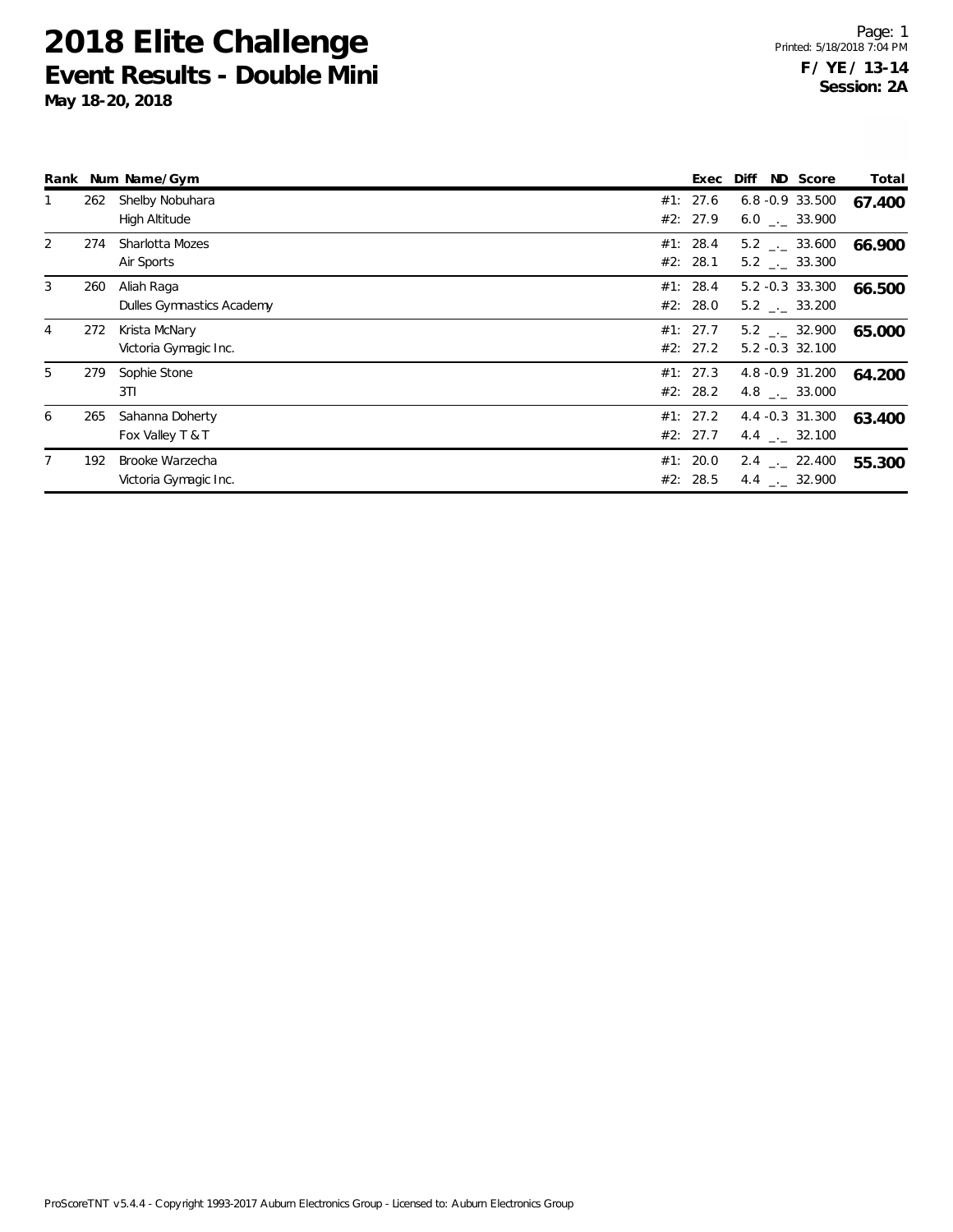|                |     | Rank Num Name/Gym                        | Exec                 | Diff | ND Score                                               | Total  |
|----------------|-----|------------------------------------------|----------------------|------|--------------------------------------------------------|--------|
|                | 262 | Shelby Nobuhara<br>High Altitude         | #1: 27.6<br>#2: 27.9 |      | $6.8 - 0.9$ 33.500<br>$6.0$ . 33.900                   | 67.400 |
| $\overline{2}$ | 274 | Sharlotta Mozes<br>Air Sports            | #1: 28.4<br>#2: 28.1 |      | $5.2$ $_{\leftarrow}$ 33.600<br>$5.2$ $_{\sim}$ 33.300 | 66.900 |
| 3              | 260 | Aliah Raga<br>Dulles Gymnastics Academy  | #1: 28.4<br>#2: 28.0 |      | $5.2 -0.3$ 33.300<br>5.2 . 33.200                      | 66.500 |
| 4              | 272 | Krista McNary<br>Victoria Gymagic Inc.   | #1: 27.7<br>#2: 27.2 |      | $5.2$ $_{\sim}$ 32.900<br>$5.2 -0.3$ 32.100            | 65.000 |
| 5              | 279 | Sophie Stone<br>3TI                      | #1: 27.3<br>#2: 28.2 |      | 4.8 -0.9 31.200<br>4.8 $\qquad$ $-$ 33.000             | 64.200 |
| 6              | 265 | Sahanna Doherty<br>Fox Valley T & T      | #1: 27.2<br>#2: 27.7 |      | 4.4 -0.3 31.300<br>4.4 $\qquad$ 32.100                 | 63.400 |
|                | 192 | Brooke Warzecha<br>Victoria Gymagic Inc. | #1: 20.0<br>#2: 28.5 |      | $2.4$ $_{\sim}$ 22.400<br>4.4 $\ldots$ 32.900          | 55.300 |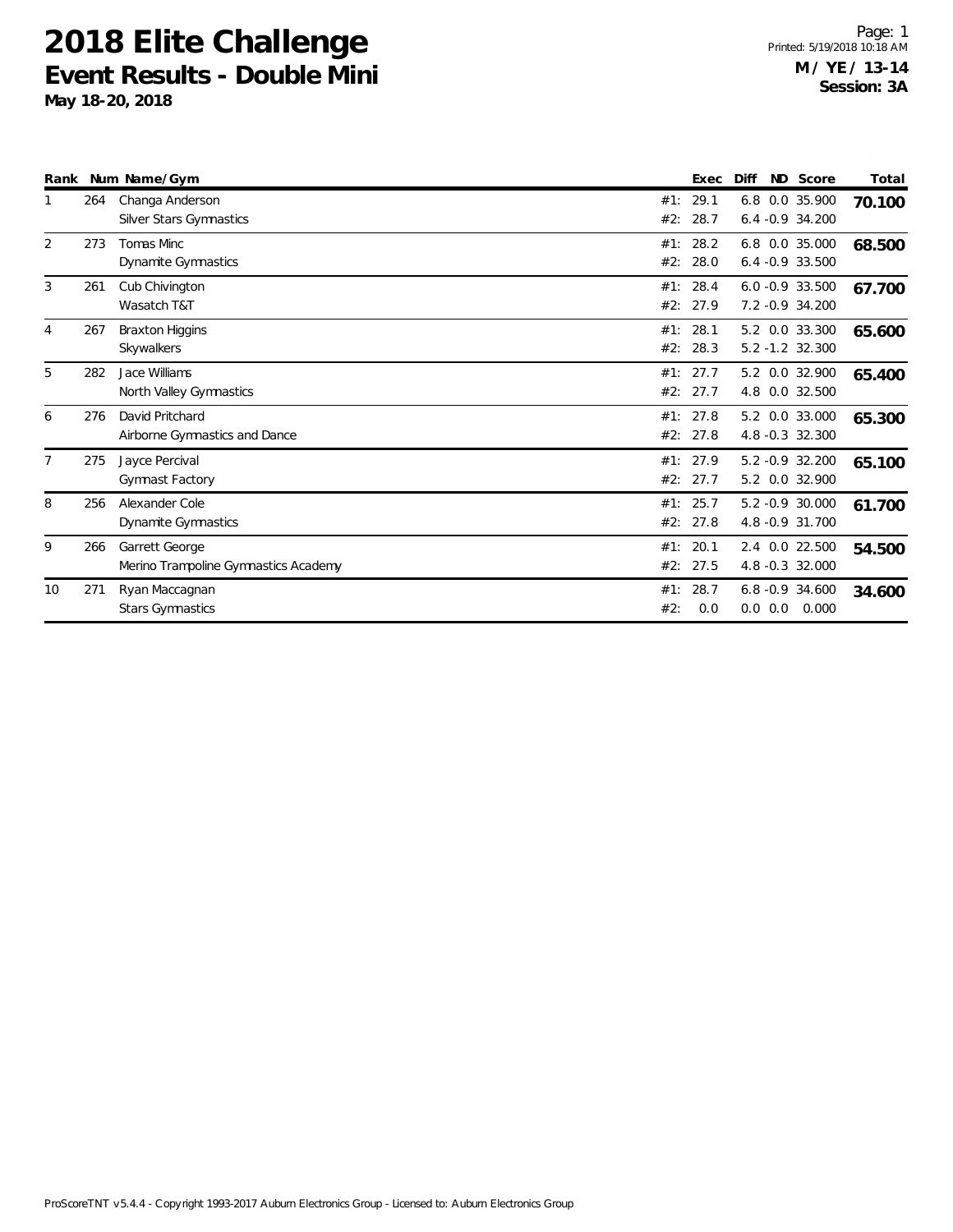| Rank           |     | Num Name/Gym                                           |            | Exec                 | Diff |             | ND Score                               | Total  |
|----------------|-----|--------------------------------------------------------|------------|----------------------|------|-------------|----------------------------------------|--------|
|                | 264 | Changa Anderson<br>Silver Stars Gymnastics             | #1:<br>#2: | 29.1<br>28.7         |      |             | 6.8 0.0 35.900<br>$6.4 -0.9$ 34.200    | 70.100 |
| $\overline{2}$ | 273 | Tomas Minc<br>Dynamite Gymnastics                      | #1:<br>#2: | 28.2<br>28.0         |      |             | 6.8 0.0 35.000<br>$6.4 -0.9$ 33.500    | 68.500 |
| 3              | 261 | Cub Chivington<br>Wasatch T&T                          | #2:        | #1: 28.4<br>27.9     |      |             | $6.0 - 0.9 33.500$<br>7.2 - 0.9 34.200 | 67.700 |
| 4              | 267 | <b>Braxton Higgins</b><br>Skywalkers                   | #2:        | #1: 28.1<br>28.3     |      |             | 5.2 0.0 33.300<br>$5.2 - 1.2$ 32.300   | 65.600 |
| 5              | 282 | Jace Williams<br>North Valley Gymnastics               | #1:<br>#2: | 27.7<br>27.7         |      |             | 5.2 0.0 32.900<br>4.8 0.0 32.500       | 65.400 |
| 6              | 276 | David Pritchard<br>Airborne Gymnastics and Dance       | #1:<br>#2: | 27.8<br>27.8         |      |             | 5.2 0.0 33.000<br>4.8 -0.3 32.300      | 65.300 |
| $\overline{7}$ | 275 | Jayce Percival<br>Gymnast Factory                      |            | #1: 27.9<br>#2: 27.7 |      |             | 5.2 -0.9 32.200<br>5.2 0.0 32.900      | 65.100 |
| 8              | 256 | Alexander Cole<br>Dynamite Gymnastics                  |            | #1: 25.7<br>#2: 27.8 |      |             | 5.2 -0.9 30.000<br>4.8 - 0.9 31.700    | 61.700 |
| 9              | 266 | Garrett George<br>Merino Trampoline Gymnastics Academy | #1:<br>#2: | 20.1<br>27.5         |      |             | 2.4 0.0 22.500<br>4.8 -0.3 32.000      | 54.500 |
| 10             | 271 | Ryan Maccagnan<br><b>Stars Gymnastics</b>              | #1:<br>#2: | 28.7<br>0.0          |      | $0.0 \ 0.0$ | $6.8 - 0.9$ 34.600<br>0.000            | 34.600 |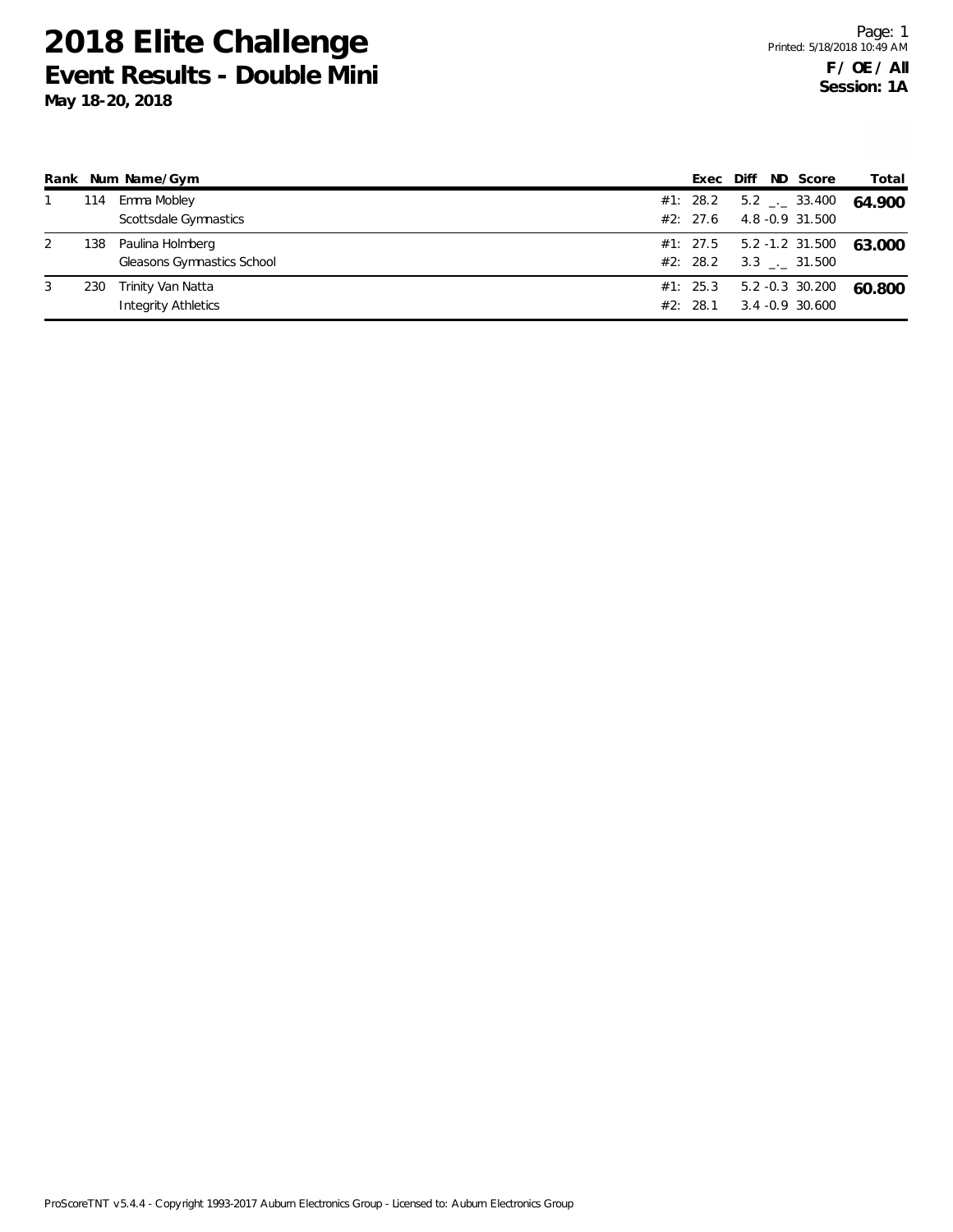|   |     | Rank Num Name/Gym          |          |  | Exec Diff ND Score               | Total  |
|---|-----|----------------------------|----------|--|----------------------------------|--------|
|   | 114 | Emma Mobley                | #1: 28.2 |  | $5.2$ $_{\leftarrow}$ 33.400     | 64.900 |
|   |     | Scottsdale Gymnastics      | #2: 27.6 |  | 4.8 -0.9 31.500                  |        |
| 2 | 138 | Paulina Holmberg           |          |  | $#1: 27.5 \t 5.2 -1.2 \t 31.500$ | 63.000 |
|   |     | Gleasons Gymnastics School |          |  | #2: 28.2 3.3 $\_\_$ 31.500       |        |
| 3 | 230 | Trinity Van Natta          | #1: 25.3 |  | 5.2 -0.3 30.200                  | 60.800 |
|   |     | Integrity Athletics        | #2: 28.1 |  | 3.4 -0.9 30.600                  |        |
|   |     |                            |          |  |                                  |        |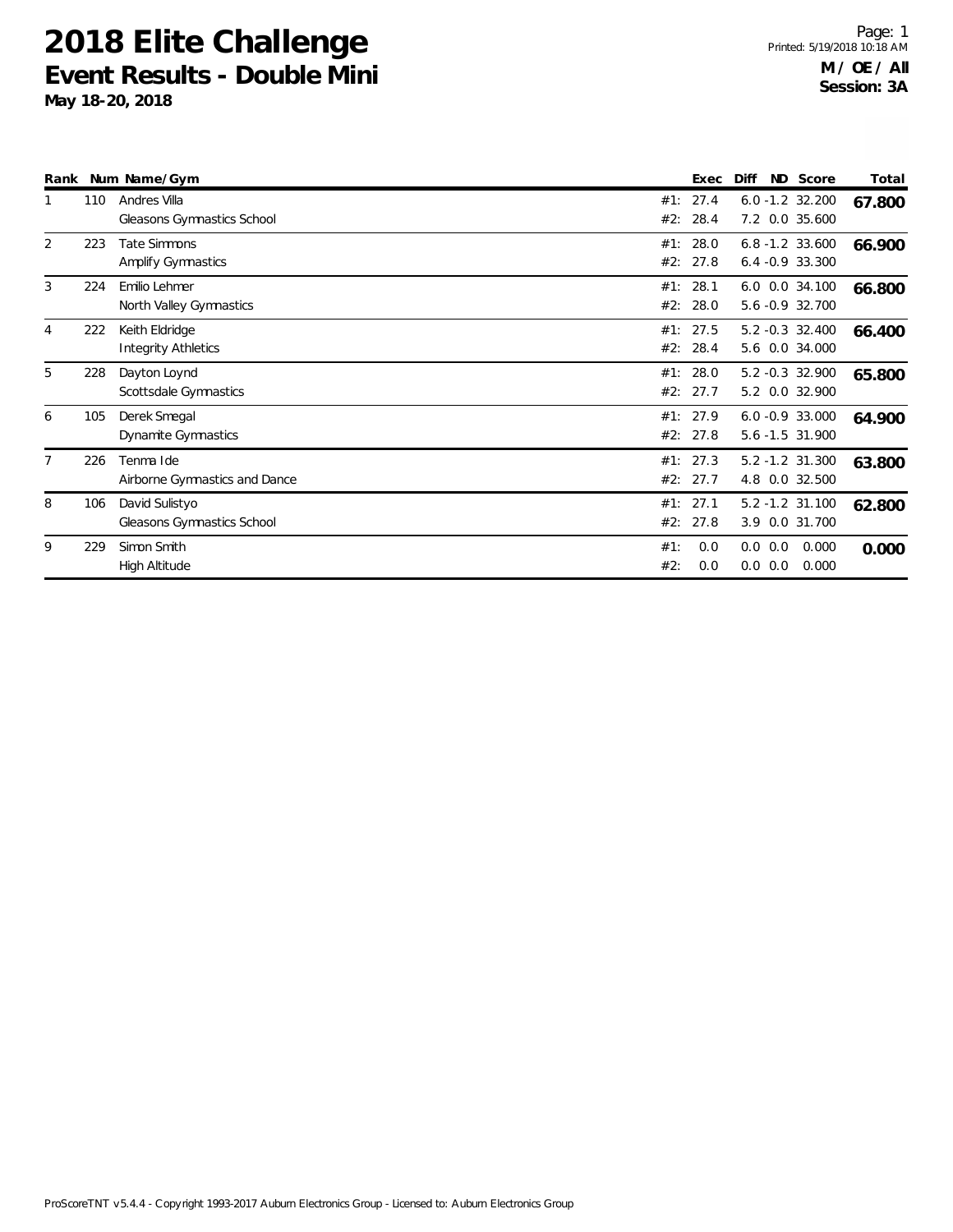| Rank |     | Num Name/Gym                                     |            | Exec             | Diff                                    | ND Score       | Total  |
|------|-----|--------------------------------------------------|------------|------------------|-----------------------------------------|----------------|--------|
|      | 110 | Andres Villa<br>Gleasons Gymnastics School       | #1:<br>#2: | 27.4<br>28.4     | $6.0 - 1.2$ 32.200<br>7.2 0.0 35.600    |                | 67.800 |
| 2    | 223 | <b>Tate Simmons</b><br><b>Amplify Gymnastics</b> | #1:<br>#2: | 28.0<br>27.8     | $6.8 - 1.2$ 33.600<br>$6.4 -0.9$ 33.300 |                | 66.900 |
| 3    | 224 | Emilio Lehmer<br>North Valley Gymnastics         | #1:<br>#2: | 28.1<br>28.0     | 6.0 0.0 34.100<br>5.6 -0.9 32.700       |                | 66.800 |
| 4    | 222 | Keith Eldridge<br>Integrity Athletics            | #1:<br>#2: | 27.5<br>28.4     | $5.2 -0.3$ 32.400<br>5.6 0.0 34.000     |                | 66.400 |
| 5    | 228 | Dayton Loynd<br>Scottsdale Gymnastics            | #1:<br>#2: | 28.0<br>27.7     | 5.2 -0.3 32.900<br>5.2 0.0 32.900       |                | 65.800 |
| 6    | 105 | Derek Smegal<br>Dynamite Gymnastics              | #1:        | 27.9<br>#2: 27.8 | $6.0 -0.9$ 33.000<br>5.6 -1.5 31.900    |                | 64.900 |
| 7    | 226 | Tenma Ide<br>Airborne Gymnastics and Dance       | #1:        | 27.3<br>#2: 27.7 | 5.2 -1.2 31.300<br>4.8 0.0 32.500       |                | 63.800 |
| 8    | 106 | David Sulistyo<br>Gleasons Gymnastics School     | #1:<br>#2: | 27.1<br>27.8     | $5.2 - 1.2$ 31.100<br>3.9 0.0 31.700    |                | 62.800 |
| 9    | 229 | Simon Smith<br>High Altitude                     | #1:<br>#2: | 0.0<br>0.0       | $0.0\ 0.0$<br>0.0 0.0                   | 0.000<br>0.000 | 0.000  |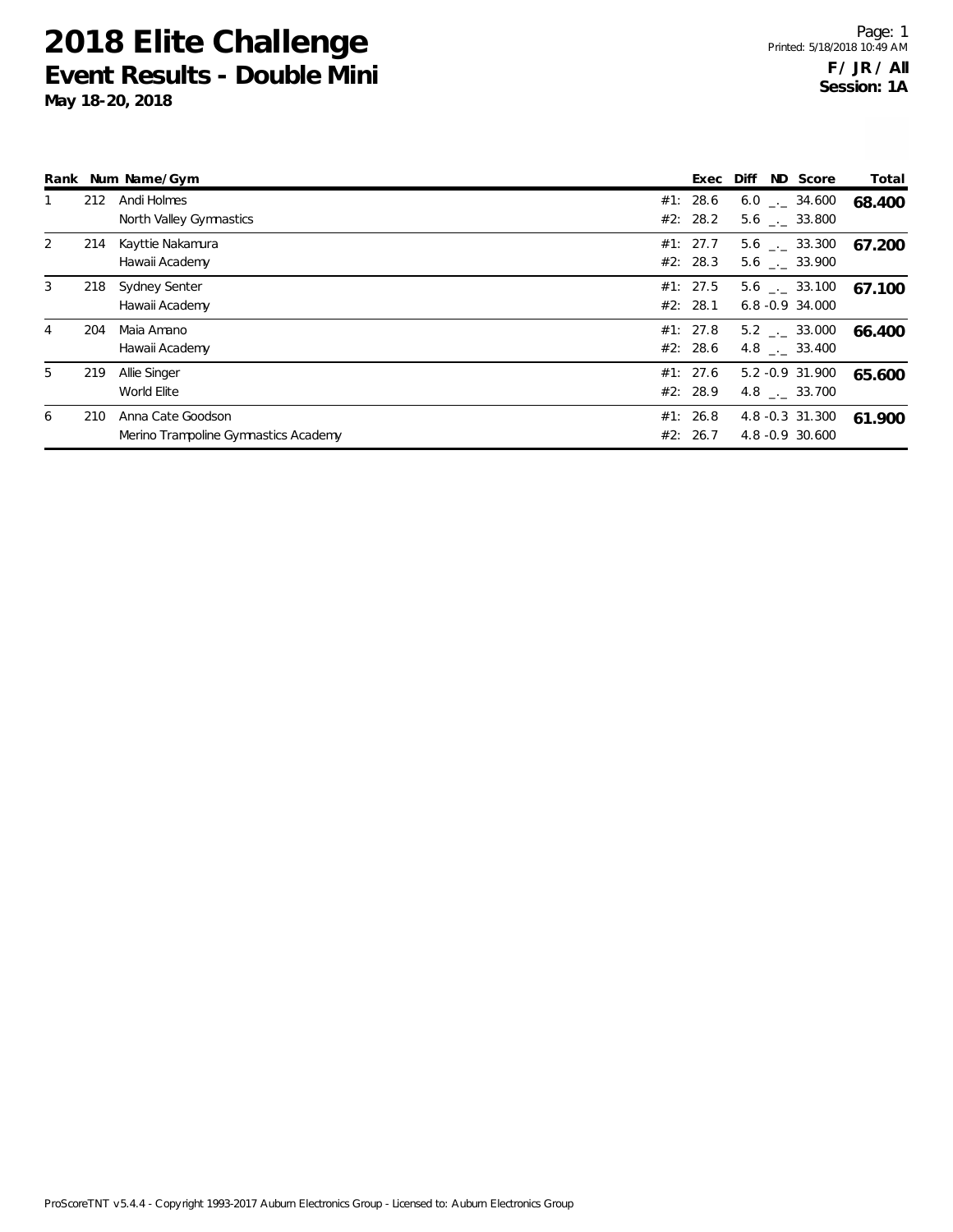|   |     | Rank Num Name/Gym                                         | Exec                 | Diff | ND Score                                     | Total  |
|---|-----|-----------------------------------------------------------|----------------------|------|----------------------------------------------|--------|
| 1 | 212 | Andi Holmes<br>North Valley Gymnastics                    | #1: 28.6<br>#2: 28.2 |      | $6.0$ _._ 34.600<br>5.6 . 33.800             | 68.400 |
| 2 | 214 | Kayttie Nakamura<br>Hawaii Academy                        | #1: 27.7<br>#2: 28.3 |      | $5.6$ $_{-1}$ 33.300<br>$5.6$ $-.$ 33.900    | 67.200 |
| 3 | 218 | Sydney Senter<br>Hawaii Academy                           | #1: 27.5<br>#2: 28.1 |      | $5.6$ $_{\sim}$ 33.100<br>$6.8 - 0.9$ 34.000 | 67.100 |
| 4 | 204 | Maia Amano<br>Hawaii Academy                              | #1: 27.8<br>#2: 28.6 |      | 5.2 . 33.000<br>$4.8$ $_{-}$ 33.400          | 66.400 |
| 5 | 219 | Allie Singer<br>World Elite                               | #1: 27.6<br>#2: 28.9 |      | 5.2 -0.9 31.900<br>4.8 $\frac{1}{2}$ 33.700  | 65.600 |
| 6 | 210 | Anna Cate Goodson<br>Merino Trampoline Gymnastics Academy | #1: 26.8<br>#2: 26.7 |      | 4.8 -0.3 31.300<br>4.8 -0.9 30.600           | 61.900 |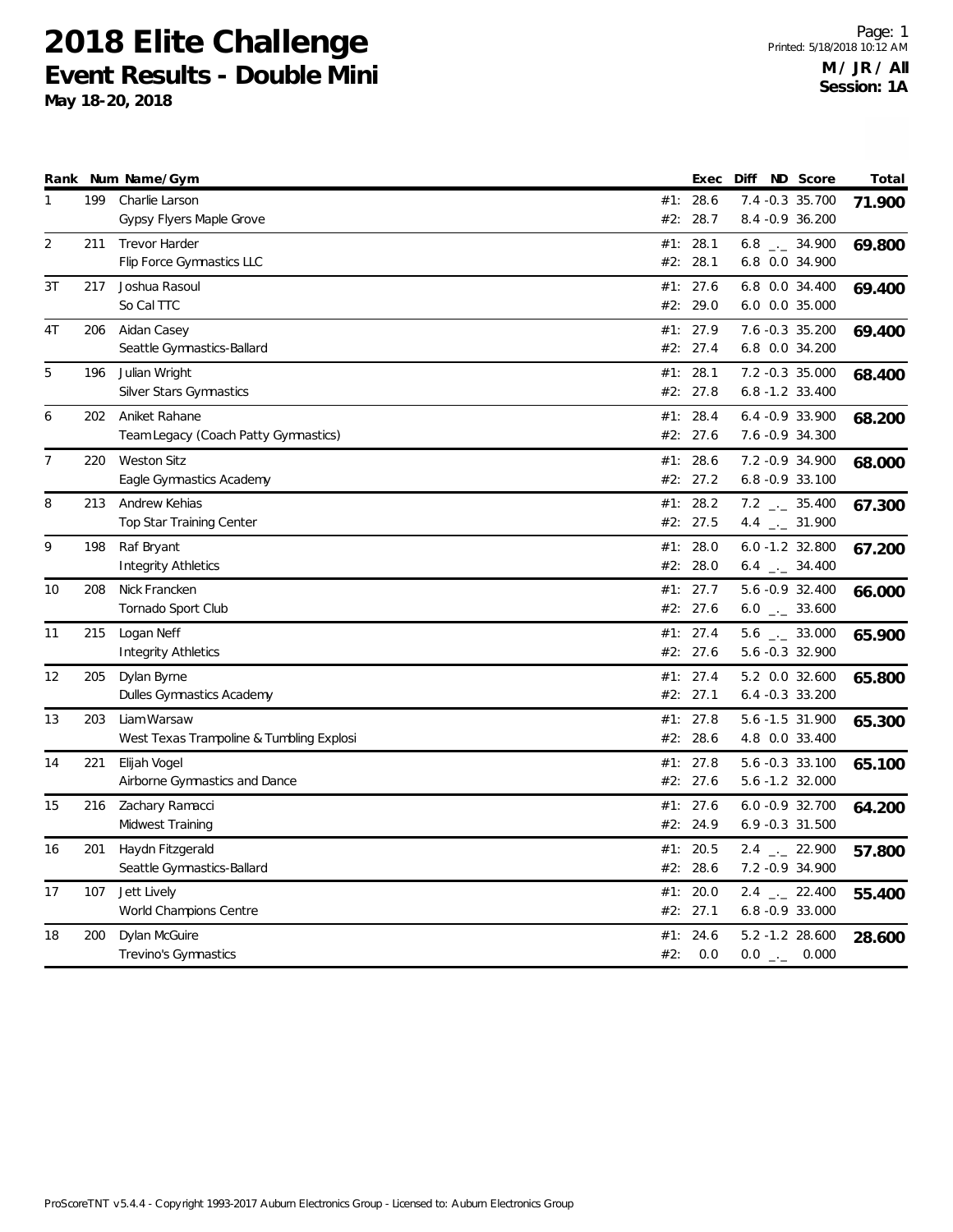|              |     | Rank Num Name/Gym                                       |     | Exec             | Diff                                | ND Score | Total  |
|--------------|-----|---------------------------------------------------------|-----|------------------|-------------------------------------|----------|--------|
| $\mathbf{1}$ | 199 | Charlie Larson                                          |     | #1: 28.6         | 7.4 -0.3 35.700                     |          | 71.900 |
|              |     | Gypsy Flyers Maple Grove                                |     | #2: 28.7         | 8.4 - 0.9 36.200                    |          |        |
| 2            | 211 | <b>Trevor Harder</b>                                    | #1: | 28.1             | $6.8$ $_{\leftarrow}$ 34.900        |          | 69.800 |
|              |     | Flip Force Gymnastics LLC                               |     | #2: 28.1         | 6.8 0.0 34.900                      |          |        |
| 3T           | 217 | Joshua Rasoul                                           | #1: | 27.6             | 6.8 0.0 34.400                      |          | 69.400 |
|              |     | So Cal TTC                                              |     | #2: 29.0         | 6.0 0.0 35.000                      |          |        |
| 4T           | 206 | Aidan Casey                                             |     | #1: 27.9         | 7.6 -0.3 35.200                     |          | 69.400 |
|              |     | Seattle Gymnastics-Ballard                              |     | #2: 27.4         | 6.8 0.0 34.200                      |          |        |
| 5            | 196 | Julian Wright                                           |     | #1: 28.1         | 7.2 -0.3 35.000                     |          | 68.400 |
|              |     | Silver Stars Gymnastics                                 |     | #2: 27.8         | 6.8 -1.2 33.400                     |          |        |
| 6            | 202 | Aniket Rahane                                           |     | #1: 28.4         | 6.4 - 0.9 33.900                    |          | 68.200 |
|              |     | Team Legacy (Coach Patty Gymnastics)                    |     | #2: 27.6         | 7.6 -0.9 34.300                     |          |        |
| 7            | 220 | <b>Weston Sitz</b>                                      |     | #1: 28.6         | 7.2 - 0.9 34.900                    |          | 68.000 |
|              |     | Eagle Gymnastics Academy                                |     | #2: 27.2         | $6.8 - 0.9$ 33.100                  |          |        |
| 8            | 213 | Andrew Kehias                                           |     | #1: 28.2         | $7.2$ _ 35.400                      |          | 67.300 |
|              |     | Top Star Training Center                                |     | #2: 27.5         | 4.4 $_{\leftarrow}$ 31.900          |          |        |
| 9            | 198 | Raf Bryant                                              |     | #1: 28.0         | 6.0 -1.2 32.800                     |          |        |
|              |     | <b>Integrity Athletics</b>                              |     | #2: 28.0         | $6.4$ $-2$ 34.400                   |          | 67.200 |
| 10           | 208 | Nick Francken                                           |     | #1: 27.7         | 5.6 -0.9 32.400                     |          |        |
|              |     | Tornado Sport Club                                      |     | #2: 27.6         | $6.0$ _ $-$ 33.600                  |          | 66.000 |
| 11           | 215 | Logan Neff                                              |     | #1: 27.4         | $5.6$ _ $-2.33.000$                 |          |        |
|              |     | <b>Integrity Athletics</b>                              |     | #2: 27.6         | 5.6 -0.3 32.900                     |          | 65.900 |
|              |     |                                                         |     |                  |                                     |          |        |
| 12           | 205 | Dylan Byrne<br>Dulles Gymnastics Academy                | #1: | 27.4<br>#2: 27.1 | 5.2 0.0 32.600<br>$6.4 -0.3$ 33.200 |          | 65.800 |
|              |     |                                                         |     |                  |                                     |          |        |
| 13           | 203 | Liam Warsaw<br>West Texas Trampoline & Tumbling Explosi | #1: | 27.8<br>#2: 28.6 | 5.6 -1.5 31.900<br>4.8 0.0 33.400   |          | 65.300 |
|              |     |                                                         |     |                  |                                     |          |        |
| 14           | 221 | Elijah Vogel                                            | #1: | 27.8<br>#2: 27.6 | 5.6 -0.3 33.100<br>5.6 -1.2 32.000  |          | 65.100 |
|              |     | Airborne Gymnastics and Dance                           |     |                  |                                     |          |        |
| 15           | 216 | Zachary Ramacci                                         |     | #1: 27.6         | $6.0 -0.9$ 32.700                   |          | 64.200 |
|              |     | Midwest Training                                        |     | #2: 24.9         | $6.9 - 0.3$ 31.500                  |          |        |
| 16           | 201 | Haydn Fitzgerald                                        |     | #1: 20.5         | $2.4$ $_{\leftarrow}$ 22.900        |          | 57.800 |
|              |     | Seattle Gymnastics-Ballard                              |     | #2: 28.6         | 7.2 - 0.9 34.900                    |          |        |
| 17           | 107 | Jett Lively                                             |     | #1: 20.0         | $2.4$ $_{\leftarrow}$ 22.400        |          | 55.400 |
|              |     | World Champions Centre                                  |     | #2: 27.1         | 6.8 - 0.9 33.000                    |          |        |
| 18           | 200 | Dylan McGuire                                           | #1: | 24.6             | 5.2 -1.2 28.600                     |          | 28.600 |
|              |     | Trevino's Gymnastics                                    | #2: | 0.0              | $0.0$ _._ 0.000                     |          |        |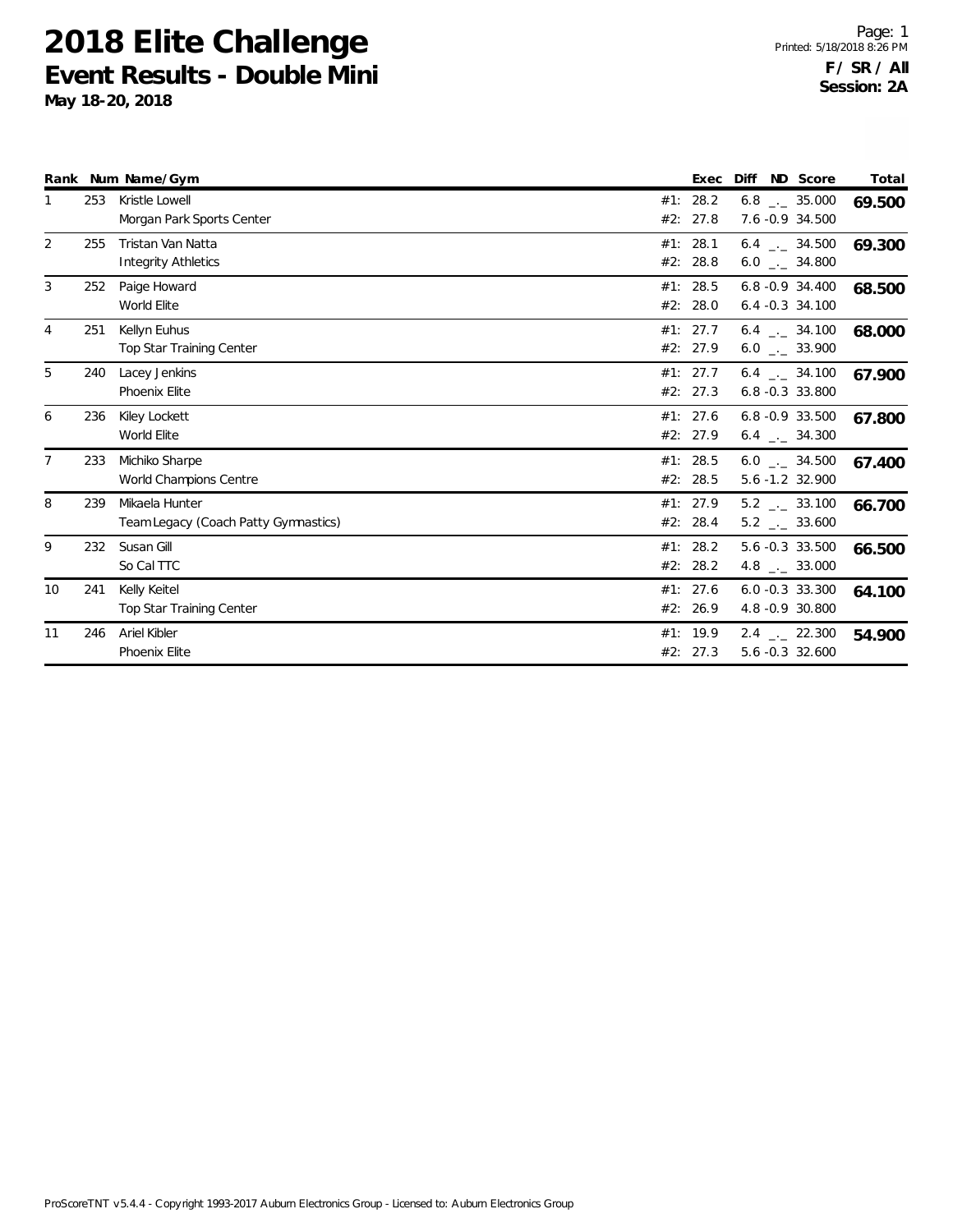|                |     | Rank Num Name/Gym                                      |            |                      | Exec Diff ND Score                              | Total  |
|----------------|-----|--------------------------------------------------------|------------|----------------------|-------------------------------------------------|--------|
|                | 253 | Kristle Lowell<br>Morgan Park Sports Center            | #1:        | 28.2<br>#2: 27.8     | $6.8$ _._ 35.000<br>7.6 -0.9 34.500             | 69.500 |
| 2              | 255 | Tristan Van Natta<br>Integrity Athletics               | #2:        | #1: 28.1<br>28.8     | $6.4$ $-.$ 34.500<br>$6.0$ _._ 34.800           | 69.300 |
| 3              | 252 | Paige Howard<br>World Elite                            | #1:<br>#2: | 28.5<br>28.0         | $6.8 - 0.9$ 34.400<br>$6.4 -0.3$ 34.100         | 68.500 |
| 4              | 251 | Kellyn Euhus<br><b>Top Star Training Center</b>        |            | #1: 27.7<br>#2: 27.9 | $6.4$ $-2$ 34.100<br>$6.0$ _._ 33.900           | 68.000 |
| 5              | 240 | Lacey Jenkins<br>Phoenix Elite                         |            | #1: 27.7<br>#2: 27.3 | 6.4 . 34.100<br>$6.8 - 0.3$ 33.800              | 67.900 |
| 6              | 236 | Kiley Lockett<br>World Elite                           | #2:        | #1: 27.6<br>27.9     | 6.8 -0.9 33.500<br>$6.4$ $-.$ 34.300            | 67.800 |
| $\overline{7}$ | 233 | Michiko Sharpe<br>World Champions Centre               | #1:        | 28.5<br>#2: 28.5     | $6.0$ _._ 34.500<br>5.6 -1.2 32.900             | 67.400 |
| 8              | 239 | Mikaela Hunter<br>Team Legacy (Coach Patty Gymnastics) |            | #1: 27.9<br>#2: 28.4 | $5.2$ _._ 33.100<br>$5.2$ _ $-$ 33.600          | 66.700 |
| 9              | 232 | Susan Gill<br>So Cal TTC                               |            | #1: 28.2<br>#2: 28.2 | 5.6 -0.3 33.500<br>4.8 $\qquad$ 33.000          | 66.500 |
| 10             | 241 | Kelly Keitel<br>Top Star Training Center               |            | #1: 27.6<br>#2: 26.9 | $6.0 -0.3$ 33.300<br>4.8 - 0.9 30.800           | 64.100 |
| 11             | 246 | Ariel Kibler<br>Phoenix Elite                          |            | #1: 19.9<br>#2: 27.3 | $2.4$ $_{\leftarrow}$ 22.300<br>5.6 -0.3 32.600 | 54.900 |